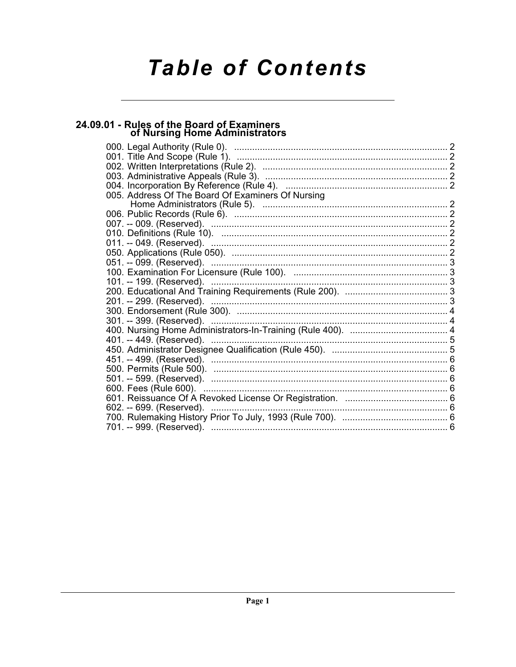# **Table of Contents**

# 24.09.01 - Rules of the Board of Examiners<br>of Nursing Home Administrators

| 005. Address Of The Board Of Examiners Of Nursing |  |
|---------------------------------------------------|--|
|                                                   |  |
|                                                   |  |
|                                                   |  |
|                                                   |  |
|                                                   |  |
|                                                   |  |
|                                                   |  |
|                                                   |  |
|                                                   |  |
|                                                   |  |
|                                                   |  |
|                                                   |  |
|                                                   |  |
|                                                   |  |
|                                                   |  |
|                                                   |  |
|                                                   |  |
|                                                   |  |
|                                                   |  |
|                                                   |  |
|                                                   |  |
|                                                   |  |
|                                                   |  |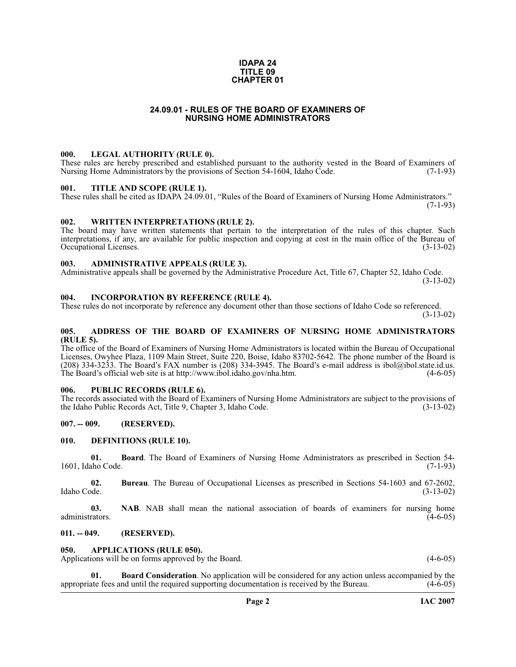#### **IDAPA 24 TITLE 09 CHAPTER 01**

# **24.09.01 - RULES OF THE BOARD OF EXAMINERS OF NURSING HOME ADMINISTRATORS**

#### <span id="page-1-1"></span><span id="page-1-0"></span>**000. LEGAL AUTHORITY (RULE 0).**

These rules are hereby prescribed and established pursuant to the authority vested in the Board of Examiners of Nursing Home Administrators by the provisions of Section 54-1604, Idaho Code. (7-1-93) Nursing Home Administrators by the provisions of Section 54-1604, Idaho Code.

#### <span id="page-1-2"></span>**001. TITLE AND SCOPE (RULE 1).**

These rules shall be cited as IDAPA 24.09.01, "Rules of the Board of Examiners of Nursing Home Administrators." (7-1-93)

#### <span id="page-1-3"></span>**002. WRITTEN INTERPRETATIONS (RULE 2).**

The board may have written statements that pertain to the interpretation of the rules of this chapter. Such interpretations, if any, are available for public inspection and copying at cost in the main office of the Bureau of Occupational Licenses. (3-13-02)

# <span id="page-1-4"></span>**003. ADMINISTRATIVE APPEALS (RULE 3).**

Administrative appeals shall be governed by the Administrative Procedure Act, Title 67, Chapter 52, Idaho Code.

(3-13-02)

#### <span id="page-1-5"></span>**004. INCORPORATION BY REFERENCE (RULE 4).**

These rules do not incorporate by reference any document other than those sections of Idaho Code so referenced. (3-13-02)

# <span id="page-1-6"></span>**005. ADDRESS OF THE BOARD OF EXAMINERS OF NURSING HOME ADMINISTRATORS (RULE 5).**

[The office of the Board of Examiners of Nursing Home Administrators is located within the Bureau of Occupational](mailto:ibol@ibol.idaho.gov)  Licenses, Owyhee Plaza, 1109 Main Street, Suite 220, Boise, Idaho 83702-5642. The phone number of the Board is (208) 334-3233. The Board's FAX number is (208) 334-3945. The Board's e-mail address is ibol@ibol.state.id.us.<br>The Board's official web site is at http://www.ibol.idaho.gov/nha.htm. [The Board's official web site is at http://www.ibol.idaho.gov/nha.htm](mailto:ibol@ibol.idaho.gov).

# <span id="page-1-7"></span>**006. PUBLIC RECORDS (RULE 6).**

The records associated with the Board of Examiners of Nursing Home Administrators are subject to the provisions of the Idaho Public Records Act, Title 9, Chapter 3, Idaho Code. (3-13-02) the Idaho Public Records Act, Title 9, Chapter 3, Idaho Code.

# <span id="page-1-8"></span>**007. -- 009. (RESERVED).**

#### <span id="page-1-14"></span><span id="page-1-9"></span>**010. DEFINITIONS (RULE 10).**

**01. Board**. The Board of Examiners of Nursing Home Administrators as prescribed in Section 54-<br>ho Code. (7-1-93) 1601, Idaho Code.

**02.** Bureau. The Bureau of Occupational Licenses as prescribed in Sections 54-1603 and 67-2602, Idaho Code. (3-13-02) Idaho Code. (3-13-02)

**03. NAB**. NAB shall mean the national association of boards of examiners for nursing home administrators. (4-6-05) administrators. (4-6-05)

#### <span id="page-1-10"></span>**011. -- 049. (RESERVED).**

#### <span id="page-1-12"></span><span id="page-1-11"></span>**050. APPLICATIONS (RULE 050).**

Applications will be on forms approved by the Board. (4-6-05) (4-6-05)

<span id="page-1-13"></span>**01. Board Consideration**. No application will be considered for any action unless accompanied by the appropriate fees and until the required supporting documentation is received by the Bureau. (4-6-05)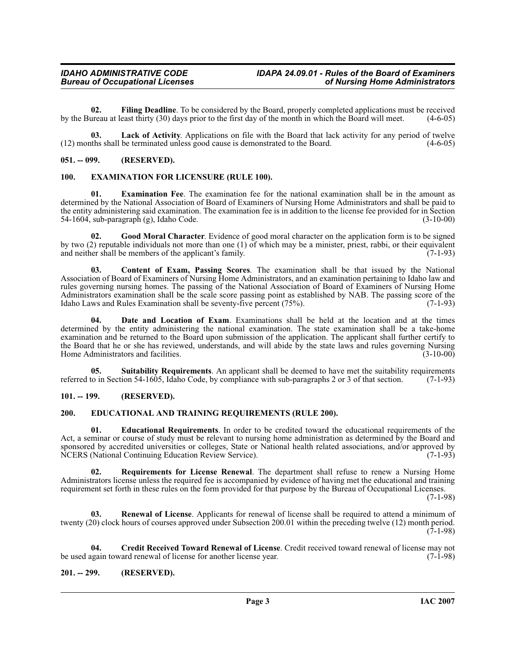<span id="page-2-11"></span>**02.** Filing Deadline. To be considered by the Board, properly completed applications must be received ureau at least thirty (30) days prior to the first day of the month in which the Board will meet. (4-6-05) by the Bureau at least thirty (30) days prior to the first day of the month in which the Board will meet.

<span id="page-2-13"></span>**03. Lack of Activity**. Applications on file with the Board that lack activity for any period of twelve (12) months shall be terminated unless good cause is demonstrated to the Board. (4-6-05)

# <span id="page-2-0"></span>**051. -- 099. (RESERVED).**

# <span id="page-2-10"></span><span id="page-2-1"></span>**100. EXAMINATION FOR LICENSURE (RULE 100).**

**01. Examination Fee**. The examination fee for the national examination shall be in the amount as determined by the National Association of Board of Examiners of Nursing Home Administrators and shall be paid to the entity administering said examination. The examination fee is in addition to the license fee provided for in Section 54-1604, sub-paragraph (g), Idaho Code. (3-10-00)

<span id="page-2-12"></span>**02. Good Moral Character**. Evidence of good moral character on the application form is to be signed by two (2) reputable individuals not more than one (1) of which may be a minister, priest, rabbi, or their equivalent and neither shall be members of the applicant's family. (7-1-93)

<span id="page-2-5"></span>**03. Content of Exam, Passing Scores**. The examination shall be that issued by the National Association of Board of Examiners of Nursing Home Administrators, and an examination pertaining to Idaho law and rules governing nursing homes. The passing of the National Association of Board of Examiners of Nursing Home Administrators examination shall be the scale score passing point as established by NAB. The passing score of the Idaho Laws and Rules Examination shall be seventy-five percent (75%). (7-1-93)

<span id="page-2-7"></span>**04. Date and Location of Exam**. Examinations shall be held at the location and at the times determined by the entity administering the national examination. The state examination shall be a take-home examination and be returned to the Board upon submission of the application. The applicant shall further certify to the Board that he or she has reviewed, understands, and will abide by the state laws and rules governing Nursing<br>Home Administrators and facilities. (3-10-00) Home Administrators and facilities.

<span id="page-2-16"></span>**05. Suitability Requirements**. An applicant shall be deemed to have met the suitability requirements referred to in Section 54-1605, Idaho Code, by compliance with sub-paragraphs 2 or 3 of that section. (7-1-93)

# <span id="page-2-2"></span>**101. -- 199. (RESERVED).**

# <span id="page-2-8"></span><span id="page-2-3"></span>**200. EDUCATIONAL AND TRAINING REQUIREMENTS (RULE 200).**

<span id="page-2-9"></span>**01. Educational Requirements**. In order to be credited toward the educational requirements of the Act, a seminar or course of study must be relevant to nursing home administration as determined by the Board and sponsored by accredited universities or colleges, State or National health related associations, and/or approved by NCERS (National Continuing Education Review Service). (7-1-93)

<span id="page-2-15"></span>**02. Requirements for License Renewal**. The department shall refuse to renew a Nursing Home Administrators license unless the required fee is accompanied by evidence of having met the educational and training requirement set forth in these rules on the form provided for that purpose by the Bureau of Occupational Licenses.

(7-1-98)

<span id="page-2-14"></span>**03. Renewal of License**. Applicants for renewal of license shall be required to attend a minimum of twenty (20) clock hours of courses approved under Subsection 200.01 within the preceding twelve (12) month period. (7-1-98)

<span id="page-2-6"></span>**04. Credit Received Toward Renewal of License**. Credit received toward renewal of license may not be used again toward renewal of license for another license year.

# <span id="page-2-4"></span>**201. -- 299. (RESERVED).**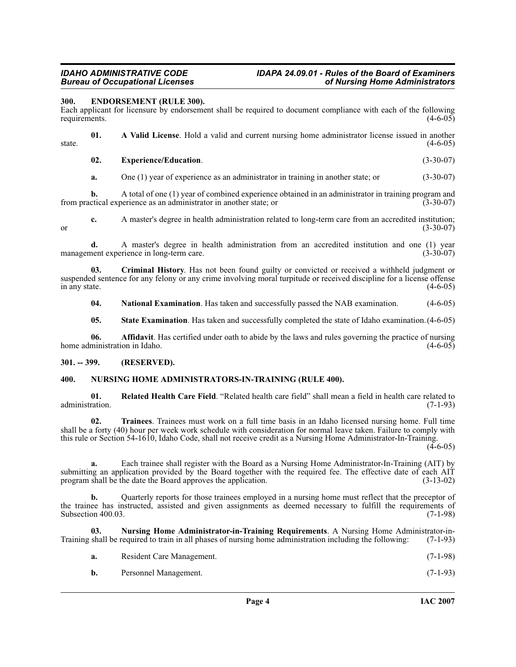# <span id="page-3-3"></span><span id="page-3-0"></span>**300. ENDORSEMENT (RULE 300).**

Each applicant for licensure by endorsement shall be required to document compliance with each of the following requirements.

**01. A Valid License**. Hold a valid and current nursing home administrator license issued in another state.  $(4-6-05)$ 

#### **02. Experience/Education**. (3-30-07)

**a.** One (1) year of experience as an administrator in training in another state; or (3-30-07)

**b.** A total of one (1) year of combined experience obtained in an administrator in training program and ctical experience as an administrator in another state; or (3-30-07) from practical experience as an administrator in another state; or

**c.** A master's degree in health administration related to long-term care from an accredited institution; (3-30-07) or  $(3-30-07)$ 

**d.** A master's degree in health administration from an accredited institution and one (1) year management experience in long-term care. (3-30-07)

**03. Criminal History**. Has not been found guilty or convicted or received a withheld judgment or suspended sentence for any felony or any crime involving moral turpitude or received discipline for a license offense<br>(4-6-05) in any state.  $(4-6-05)$ 

**04.** National Examination. Has taken and successfully passed the NAB examination. (4-6-05)

**05. State Examination**. Has taken and successfully completed the state of Idaho examination.(4-6-05)

**06. Affidavit**. Has certified under oath to abide by the laws and rules governing the practice of nursing ministration in Idaho. (4-6-05) home administration in Idaho.

# <span id="page-3-1"></span>**301. -- 399. (RESERVED).**

# <span id="page-3-5"></span><span id="page-3-2"></span>**400. NURSING HOME ADMINISTRATORS-IN-TRAINING (RULE 400).**

<span id="page-3-6"></span>**01.** Related Health Care Field. "Related health care field" shall mean a field in health care related to administration. (7-1-93) administration. (7-1-93)

<span id="page-3-7"></span>**02. Trainees**. Trainees must work on a full time basis in an Idaho licensed nursing home. Full time shall be a forty (40) hour per week work schedule with consideration for normal leave taken. Failure to comply with this rule or Section 54-1610, Idaho Code, shall not receive credit as a Nursing Home Administrator-In-Training.

 $(4-6-05)$ 

**a.** Each trainee shall register with the Board as a Nursing Home Administrator-In-Training (AIT) by submitting an application provided by the Board together with the required fee. The effective date of each AIT program shall be the date the Board approves the application. (3-13-02) program shall be the date the Board approves the application.

**b.** Quarterly reports for those trainees employed in a nursing home must reflect that the preceptor of the trainee has instructed, assisted and given assignments as deemed necessary to fulfill the requirements of Subsection 400.03. (7-1-98) Subsection 400.03.

**03.** Nursing Home Administrator-in-Training Requirements. A Nursing Home Administrator-in-<br>shall be required to train in all phases of nursing home administration including the following: (7-1-93) Training shall be required to train in all phases of nursing home administration including the following:

<span id="page-3-4"></span>

|  | Resident Care Management. | $(7-1-98)$ |  |
|--|---------------------------|------------|--|
|--|---------------------------|------------|--|

**b.** Personnel Management. (7-1-93)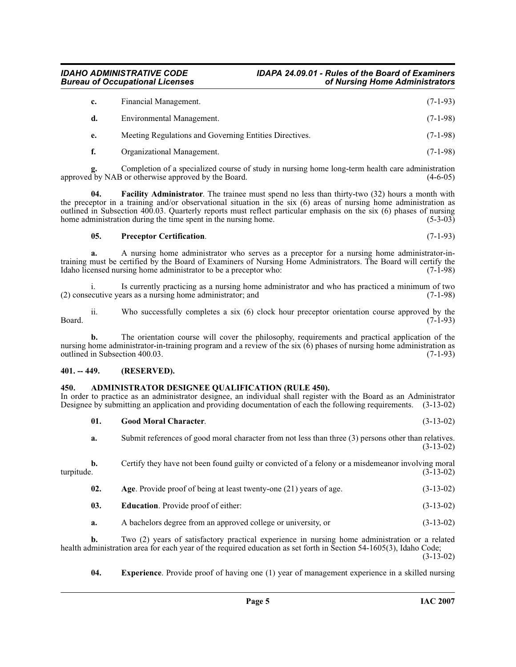| c. | Financial Management.                                  | $(7-1-93)$ |
|----|--------------------------------------------------------|------------|
| d. | Environmental Management.                              | $(7-1-98)$ |
| е. | Meeting Regulations and Governing Entities Directives. | $(7-1-98)$ |
| f. | Organizational Management.                             | $(7-1-98)$ |

**g.** Completion of a specialized course of study in nursing home long-term health care administration approved by NAB or otherwise approved by the Board. (4-6-05)

**04. Facility Administrator**. The trainee must spend no less than thirty-two (32) hours a month with the preceptor in a training and/or observational situation in the six (6) areas of nursing home administration as outlined in Subsection 400.03. Quarterly reports must reflect particular emphasis on the six (6) phases of nursing home administration during the time spent in the nursing home. (5-3-03)

# <span id="page-4-8"></span><span id="page-4-6"></span>**05. Preceptor Certification**. (7-1-93)

**a.** A nursing home administrator who serves as a preceptor for a nursing home administrator-intraining must be certified by the Board of Examiners of Nursing Home Administrators. The Board will certify the Idaho licensed nursing home administrator to be a preceptor who: (7-1-98) Idaho licensed nursing home administrator to be a preceptor who:

i. Is currently practicing as a nursing home administrator and who has practiced a minimum of two ecutive years as a nursing home administrator; and (7-1-98)  $(2)$  consecutive years as a nursing home administrator; and

ii. Who successfully completes a six (6) clock hour preceptor orientation course approved by the  $Board.$  (7-1-93)

**b.** The orientation course will cover the philosophy, requirements and practical application of the nursing home administrator-in-training program and a review of the six  $(\vec{6})$  phases of nursing home administration as outlined in Subsection 400.03. outlined in Subsection 400.03.

# <span id="page-4-0"></span>**401. -- 449. (RESERVED).**

# <span id="page-4-2"></span><span id="page-4-1"></span>**450. ADMINISTRATOR DESIGNEE QUALIFICATION (RULE 450).**

In order to practice as an administrator designee, an individual shall register with the Board as an Administrator Designee by submitting an application and providing documentation of each the following requirements. (3-13-02)

<span id="page-4-7"></span>

|            | 01. | <b>Good Moral Character.</b>                                                                         | $(3-13-02)$ |
|------------|-----|------------------------------------------------------------------------------------------------------|-------------|
|            | a.  | Submit references of good moral character from not less than three (3) persons other than relatives. | $(3-13-02)$ |
| turpitude. | b.  | Certify they have not been found guilty or convicted of a felony or a misdemeanor involving moral    | $(3-13-02)$ |
|            | 02. | Age. Provide proof of being at least twenty-one $(21)$ years of age.                                 | $(3-13-02)$ |
|            | 03. | <b>Education.</b> Provide proof of either:                                                           | $(3-13-02)$ |
|            | a.  | A bachelors degree from an approved college or university, or                                        | $(3-13-02)$ |
|            | ь.  | $T_{WQ}$ (2) years of satisfactory practical experience in pursing home administration or a related  |             |

<span id="page-4-4"></span><span id="page-4-3"></span>**b.** Two (2) years of satisfactory practical experience in nursing home administration or a related health administration area for each year of the required education as set forth in Section 54-1605(3), Idaho Code; (3-13-02)

<span id="page-4-5"></span>**04. Experience**. Provide proof of having one (1) year of management experience in a skilled nursing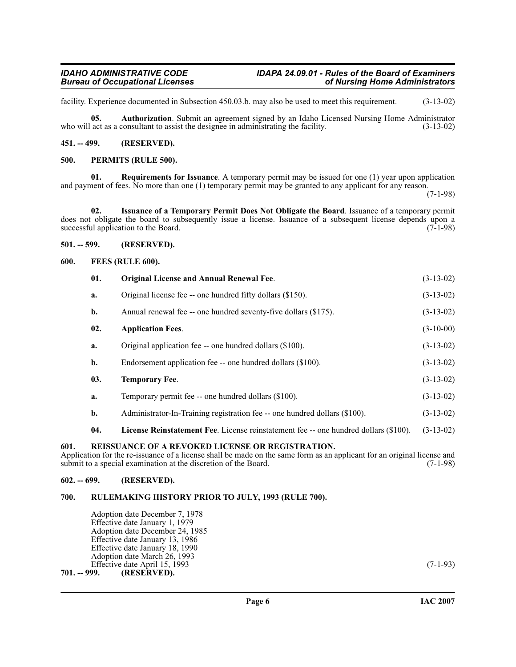facility. Experience documented in Subsection 450.03.b. may also be used to meet this requirement. (3-13-02)

<span id="page-5-9"></span>**05. Authorization**. Submit an agreement signed by an Idaho Licensed Nursing Home Administrator who will act as a consultant to assist the designee in administrating the facility. (3-13-02)

# <span id="page-5-0"></span>**451. -- 499. (RESERVED).**

# <span id="page-5-13"></span><span id="page-5-1"></span>**500. PERMITS (RULE 500).**

<span id="page-5-15"></span>**01. Requirements for Issuance**. A temporary permit may be issued for one (1) year upon application and payment of fees. No more than one (1) temporary permit may be granted to any applicant for any reason.

(7-1-98)

<span id="page-5-11"></span>**02. Issuance of a Temporary Permit Does Not Obligate the Board**. Issuance of a temporary permit does not obligate the board to subsequently issue a license. Issuance of a subsequent license depends upon a successful application to the Board. (7-1-98) successful application to the Board.

# <span id="page-5-2"></span>**501. -- 599. (RESERVED).**

# <span id="page-5-3"></span>**600. FEES (RULE 600).**

<span id="page-5-12"></span><span id="page-5-10"></span><span id="page-5-8"></span>

| 01.            | <b>Original License and Annual Renewal Fee.</b>                                      | $(3-13-02)$ |  |  |  |
|----------------|--------------------------------------------------------------------------------------|-------------|--|--|--|
| a.             | Original license fee -- one hundred fifty dollars (\$150).                           | $(3-13-02)$ |  |  |  |
| $\mathbf{b}$ . | Annual renewal fee -- one hundred seventy-five dollars (\$175).                      | $(3-13-02)$ |  |  |  |
| 02.            | <b>Application Fees.</b>                                                             | $(3-10-00)$ |  |  |  |
| a.             | Original application fee -- one hundred dollars (\$100).                             | $(3-13-02)$ |  |  |  |
| b.             | Endorsement application fee -- one hundred dollars (\$100).                          | $(3-13-02)$ |  |  |  |
| 03.            | <b>Temporary Fee.</b>                                                                | $(3-13-02)$ |  |  |  |
| a.             | Temporary permit fee -- one hundred dollars (\$100).                                 | $(3-13-02)$ |  |  |  |
| $\mathbf{b}$ . | Administrator-In-Training registration fee -- one hundred dollars (\$100).           | $(3-13-02)$ |  |  |  |
| 04.            | License Reinstatement Fee. License reinstatement fee -- one hundred dollars (\$100). | $(3-13-02)$ |  |  |  |
|                |                                                                                      |             |  |  |  |

# <span id="page-5-16"></span><span id="page-5-14"></span><span id="page-5-4"></span>**601. REISSUANCE OF A REVOKED LICENSE OR REGISTRATION.**

Application for the re-issuance of a license shall be made on the same form as an applicant for an original license and submit to a special examination at the discretion of the Board. (7-1-98) submit to a special examination at the discretion of the Board.

# <span id="page-5-5"></span>**602. -- 699. (RESERVED).**

# <span id="page-5-6"></span>**700. RULEMAKING HISTORY PRIOR TO JULY, 1993 (RULE 700).**

Adoption date December 7, 1978 Effective date January 1, 1979 Adoption date December 24, 1985 Effective date January 13, 1986 Effective date January 18, 1990 Adoption date March 26, 1993 Effective date April 15, 1993 (7-1-93)<br> **701. – 999.** (RESERVED).

<span id="page-5-7"></span>**701. -- 999. (RESERVED).**